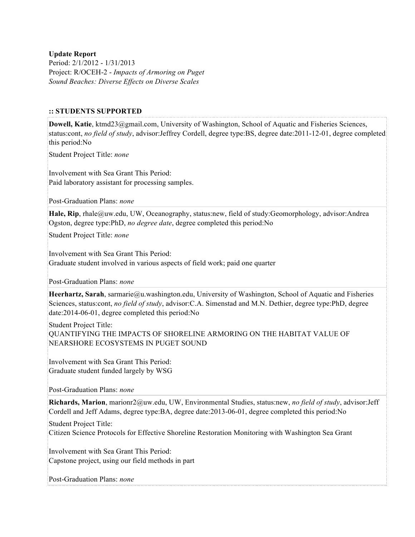**Update Report** Period: 2/1/2012 - 1/31/2013 Project: R/OCEH-2 - *Impacts of Armoring on Puget Sound Beaches: Diverse Effects on Diverse Scales*

#### **:: STUDENTS SUPPORTED**

**Dowell, Katie**, ktmd23@gmail.com, University of Washington, School of Aquatic and Fisheries Sciences, status:cont, *no field of study*, advisor:Jeffrey Cordell, degree type:BS, degree date:2011-12-01, degree completed this period:No

Student Project Title: *none*

Involvement with Sea Grant This Period: Paid laboratory assistant for processing samples.

Post-Graduation Plans: *none*

**Hale, Rip**, rhale@uw.edu, UW, Oceanography, status:new, field of study:Geomorphology, advisor:Andrea Ogston, degree type:PhD, *no degree date*, degree completed this period:No

Student Project Title: *none*

Involvement with Sea Grant This Period: Graduate student involved in various aspects of field work; paid one quarter

Post-Graduation Plans: *none*

**Heerhartz, Sarah**, sarmarie@u.washington.edu, University of Washington, School of Aquatic and Fisheries Sciences, status:cont, *no field of study*, advisor:C.A. Simenstad and M.N. Dethier, degree type:PhD, degree date:2014-06-01, degree completed this period:No

Student Project Title: QUANTIFYING THE IMPACTS OF SHORELINE ARMORING ON THE HABITAT VALUE OF NEARSHORE ECOSYSTEMS IN PUGET SOUND

Involvement with Sea Grant This Period: Graduate student funded largely by WSG

Post-Graduation Plans: *none*

**Richards, Marion**, marionr2@uw.edu, UW, Environmental Studies, status:new, *no field of study*, advisor:Jeff Cordell and Jeff Adams, degree type:BA, degree date:2013-06-01, degree completed this period:No

#### Student Project Title:

Citizen Science Protocols for Effective Shoreline Restoration Monitoring with Washington Sea Grant

Involvement with Sea Grant This Period: Capstone project, using our field methods in part

Post-Graduation Plans: *none*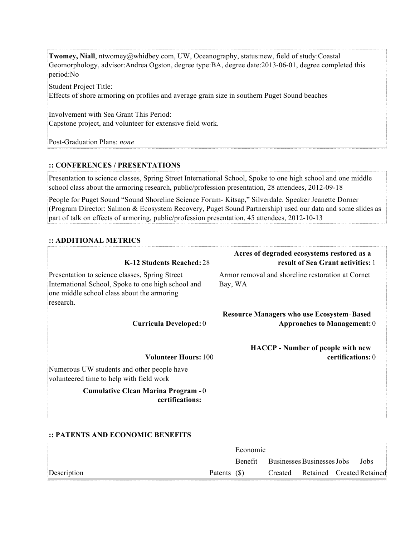**Twomey, Niall**, ntwomey@whidbey.com, UW, Oceanography, status:new, field of study:Coastal Geomorphology, advisor:Andrea Ogston, degree type:BA, degree date:2013-06-01, degree completed this period:No

Student Project Title:

Effects of shore armoring on profiles and average grain size in southern Puget Sound beaches

Involvement with Sea Grant This Period: Capstone project, and volunteer for extensive field work.

Post-Graduation Plans: *none*

## **:: CONFERENCES / PRESENTATIONS**

Presentation to science classes, Spring Street International School, Spoke to one high school and one middle school class about the armoring research, public/profession presentation, 28 attendees, 2012-09-18

People for Puget Sound "Sound Shoreline Science Forum- Kitsap," Silverdale. Speaker Jeanette Dorner (Program Director: Salmon & Ecosystem Recovery, Puget Sound Partnership) used our data and some slides as part of talk on effects of armoring, public/profession presentation, 45 attendees, 2012-10-13

## **:: ADDITIONAL METRICS**

| K-12 Students Reached: 28                                                                                                                                       | Acres of degraded ecosystems restored as a<br>result of Sea Grant activities: 1 |
|-----------------------------------------------------------------------------------------------------------------------------------------------------------------|---------------------------------------------------------------------------------|
| Presentation to science classes, Spring Street<br>International School, Spoke to one high school and<br>one middle school class about the armoring<br>research. | Armor removal and shoreline restoration at Cornet<br>Bay, WA                    |
| Curricula Developed: 0                                                                                                                                          | <b>Resource Managers who use Ecosystem-Based</b><br>Approaches to Management: 0 |
|                                                                                                                                                                 | <b>HACCP</b> - Number of people with new                                        |
| <b>Volunteer Hours: 100</b>                                                                                                                                     | certifications: 0                                                               |
| Numerous UW students and other people have<br>volunteered time to help with field work                                                                          |                                                                                 |
| Cumulative Clean Marina Program - 0<br>certifications:                                                                                                          |                                                                                 |

# **:: PATENTS AND ECONOMIC BENEFITS**

|             |             | Economic |                                         |                                   |  |  |
|-------------|-------------|----------|-----------------------------------------|-----------------------------------|--|--|
|             |             |          | Benefit Businesses Businesses Jobs Jobs |                                   |  |  |
| Description | Patents (S) |          |                                         | Created Retained Created Retained |  |  |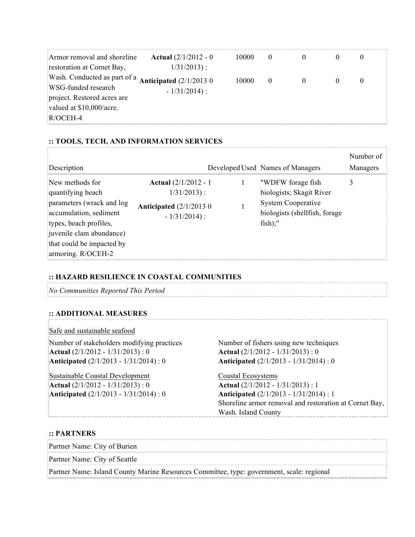| Armor removal and shoreline                                   | <b>Actual</b> $\left(\frac{2}{1/2012} - 0\right)$ | 10000 | 0        |  |          |
|---------------------------------------------------------------|---------------------------------------------------|-------|----------|--|----------|
| restoration at Cornet Bay,                                    | $1/31/2013$ :                                     |       |          |  |          |
| Wash. Conducted as part of a <b>Anticipated</b> $(2/1/20130)$ |                                                   | 10000 | $\theta$ |  | $\theta$ |
| WSG-funded research                                           | $-1/31/2014$ :                                    |       |          |  |          |
| project. Restored acres are                                   |                                                   |       |          |  |          |
| valued at \$10,000/acre.                                      |                                                   |       |          |  |          |
| $R/OCEH-4$                                                    |                                                   |       |          |  |          |

## **:: TOOLS, TECH, AND INFORMATION SERVICES**

| Description                                                                                                                                                                                          |                                                                                                                   | Developed Used Names of Managers                                                                                          | Number of<br>Managers |
|------------------------------------------------------------------------------------------------------------------------------------------------------------------------------------------------------|-------------------------------------------------------------------------------------------------------------------|---------------------------------------------------------------------------------------------------------------------------|-----------------------|
| New methods for<br>quantifying beach<br>parameters (wrack and log<br>accumulation, sediment<br>types, beach profiles,<br>juvenile clam abundance)<br>that could be impacted by<br>armoring. R/OCEH-2 | <b>Actual</b> $\left(\frac{2}{1/2012} - 1\right)$<br>$1/31/2013$ :<br>Anticipated $(2/1/20130)$<br>$-1/31/2014$ : | "WDFW forage fish<br>biologists; Skagit River<br><b>System Cooperative</b><br>biologists (shellfish, forage<br>$fish)$ ;" |                       |

#### **:: HAZARD RESILIENCE IN COASTAL COMMUNITIES**

*No Communities Reported This Period*

## **:: ADDITIONAL MEASURES**

#### Safe and sustainable seafood

Number of stakeholders modifying practices Number of fishers using new techniques **Actual** (2/1/2012 - 1/31/2013) : 0 **Anticipated** (2/1/2013 - 1/31/2014) : 0

Sustainable Coastal Development Coastal Ecosystems **Actual** (2/1/2012 - 1/31/2013) : 0 **Anticipated** (2/1/2013 - 1/31/2014) : 0

**Actual** (2/1/2012 - 1/31/2013) : 0 **Anticipated** (2/1/2013 - 1/31/2014) : 0

**Actual** (2/1/2012 - 1/31/2013) : 1 **Anticipated** (2/1/2013 - 1/31/2014) : 1 Shoreline armor removal and restoration at Cornet Bay, Wash. Island County

#### **:: PARTNERS**

Partner Name: City of Burien

Partner Name: City of Seattle

Partner Name: Island County Marine Resources Committee, type: government, scale: regional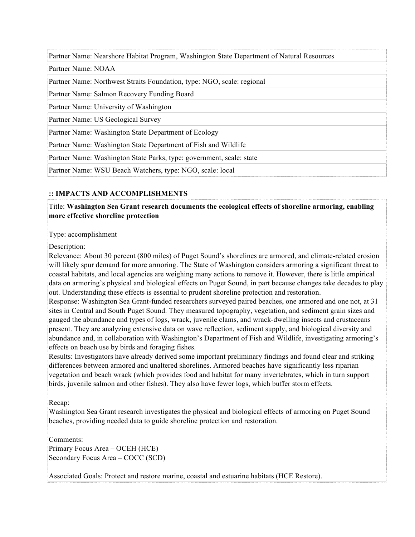Partner Name: Nearshore Habitat Program, Washington State Department of Natural Resources

Partner Name: NOAA

Partner Name: Northwest Straits Foundation, type: NGO, scale: regional

Partner Name: Salmon Recovery Funding Board

Partner Name: University of Washington

Partner Name: US Geological Survey

Partner Name: Washington State Department of Ecology

Partner Name: Washington State Department of Fish and Wildlife

Partner Name: Washington State Parks, type: government, scale: state

Partner Name: WSU Beach Watchers, type: NGO, scale: local

#### **:: IMPACTS AND ACCOMPLISHMENTS**

Title: **Washington Sea Grant research documents the ecological effects of shoreline armoring, enabling more effective shoreline protection**

Type: accomplishment

Description:

Relevance: About 30 percent (800 miles) of Puget Sound's shorelines are armored, and climate-related erosion will likely spur demand for more armoring. The State of Washington considers armoring a significant threat to coastal habitats, and local agencies are weighing many actions to remove it. However, there is little empirical data on armoring's physical and biological effects on Puget Sound, in part because changes take decades to play out. Understanding these effects is essential to prudent shoreline protection and restoration.

Response: Washington Sea Grant-funded researchers surveyed paired beaches, one armored and one not, at 31 sites in Central and South Puget Sound. They measured topography, vegetation, and sediment grain sizes and gauged the abundance and types of logs, wrack, juvenile clams, and wrack-dwelling insects and crustaceans present. They are analyzing extensive data on wave reflection, sediment supply, and biological diversity and abundance and, in collaboration with Washington's Department of Fish and Wildlife, investigating armoring's effects on beach use by birds and foraging fishes.

Results: Investigators have already derived some important preliminary findings and found clear and striking differences between armored and unaltered shorelines. Armored beaches have significantly less riparian vegetation and beach wrack (which provides food and habitat for many invertebrates, which in turn support birds, juvenile salmon and other fishes). They also have fewer logs, which buffer storm effects.

Recap:

Washington Sea Grant research investigates the physical and biological effects of armoring on Puget Sound beaches, providing needed data to guide shoreline protection and restoration.

Comments:

Primary Focus Area – OCEH (HCE) Secondary Focus Area – COCC (SCD)

Associated Goals: Protect and restore marine, coastal and estuarine habitats (HCE Restore).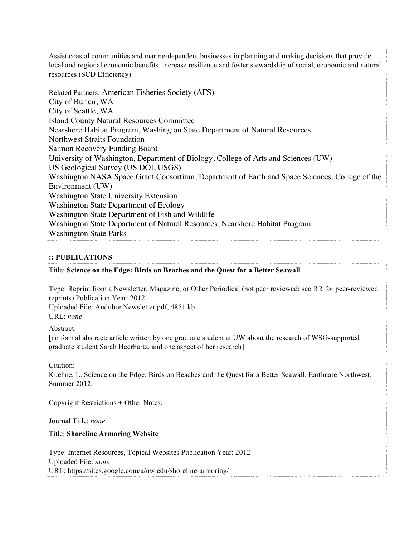Assist coastal communities and marine-dependent businesses in planning and making decisions that provide local and regional economic benefits, increase resilience and foster stewardship of social, economic and natural resources (SCD Efficiency).

Related Partners: American Fisheries Society (AFS) City of Burien, WA City of Seattle, WA Island County Natural Resources Committee Nearshore Habitat Program, Washington State Department of Natural Resources Northwest Straits Foundation Salmon Recovery Funding Board University of Washington, Department of Biology, College of Arts and Sciences (UW) US Geological Survey (US DOI, USGS) Washington NASA Space Grant Consortium, Department of Earth and Space Sciences, College of the Environment (UW) Washington State University Extension Washington State Department of Ecology Washington State Department of Fish and Wildlife Washington State Department of Natural Resources, Nearshore Habitat Program Washington State Parks

# **:: PUBLICATIONS**

#### Title: **Science on the Edge: Birds on Beaches and the Quest for a Better Seawall**

Type: Reprint from a Newsletter, Magazine, or Other Periodical (not peer reviewed; see RR for peer-reviewed reprints) Publication Year: 2012

Uploaded File: AudubonNewsletter.pdf, 4851 kb

URL: *none*

Abstract:

[no formal abstract; article written by one graduate student at UW about the research of WSG-supported graduate student Sarah Heerhartz, and one aspect of her research]

Citation:

Kuehne, L. Science on the Edge: Birds on Beaches and the Quest for a Better Seawall. Earthcare Northwest, Summer 2012.

Copyright Restrictions + Other Notes:

Journal Title: *none*

Title: **Shoreline Armoring Website**

Type: Internet Resources, Topical Websites Publication Year: 2012 Uploaded File: *none* URL: https://sites.google.com/a/uw.edu/shoreline-armoring/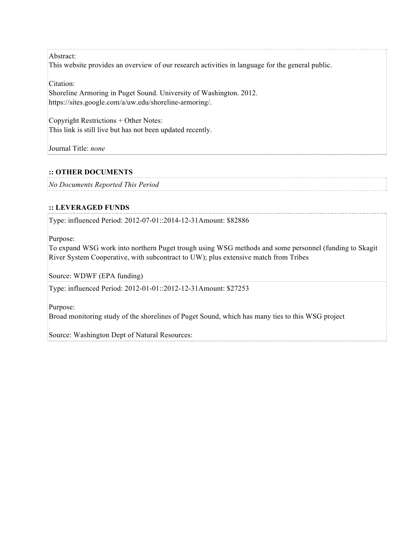Abstract: This website provides an overview of our research activities in language for the general public.

Citation:

Shoreline Armoring in Puget Sound. University of Washington. 2012. https://sites.google.com/a/uw.edu/shoreline-armoring/.

Copyright Restrictions + Other Notes: This link is still live but has not been updated recently.

Journal Title: *none*

# **:: OTHER DOCUMENTS**

*No Documents Reported This Period*

## **:: LEVERAGED FUNDS**

Type: influenced Period: 2012-07-01::2014-12-31Amount: \$82886

Purpose:

To expand WSG work into northern Puget trough using WSG methods and some personnel (funding to Skagit River System Cooperative, with subcontract to UW); plus extensive match from Tribes

Source: WDWF (EPA funding)

Type: influenced Period: 2012-01-01::2012-12-31Amount: \$27253

Purpose:

Broad monitoring study of the shorelines of Puget Sound, which has many ties to this WSG project

Source: Washington Dept of Natural Resources: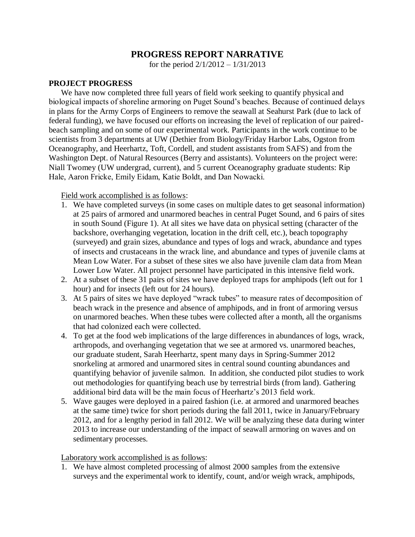# **PROGRESS REPORT NARRATIVE**

for the period  $2/1/2012 - 1/31/2013$ 

# **PROJECT PROGRESS**

We have now completed three full years of field work seeking to quantify physical and biological impacts of shoreline armoring on Puget Sound's beaches. Because of continued delays in plans for the Army Corps of Engineers to remove the seawall at Seahurst Park (due to lack of federal funding), we have focused our efforts on increasing the level of replication of our pairedbeach sampling and on some of our experimental work. Participants in the work continue to be scientists from 3 departments at UW (Dethier from Biology/Friday Harbor Labs, Ogston from Oceanography, and Heerhartz, Toft, Cordell, and student assistants from SAFS) and from the Washington Dept. of Natural Resources (Berry and assistants). Volunteers on the project were: Niall Twomey (UW undergrad, current), and 5 current Oceanography graduate students: Rip Hale, Aaron Fricke, Emily Eidam, Katie Boldt, and Dan Nowacki.

Field work accomplished is as follows:

- 1. We have completed surveys (in some cases on multiple dates to get seasonal information) at 25 pairs of armored and unarmored beaches in central Puget Sound, and 6 pairs of sites in south Sound (Figure 1). At all sites we have data on physical setting (character of the backshore, overhanging vegetation, location in the drift cell, etc.), beach topography (surveyed) and grain sizes, abundance and types of logs and wrack, abundance and types of insects and crustaceans in the wrack line, and abundance and types of juvenile clams at Mean Low Water. For a subset of these sites we also have juvenile clam data from Mean Lower Low Water. All project personnel have participated in this intensive field work.
- 2. At a subset of these 31 pairs of sites we have deployed traps for amphipods (left out for 1 hour) and for insects (left out for 24 hours).
- 3. At 5 pairs of sites we have deployed "wrack tubes" to measure rates of decomposition of beach wrack in the presence and absence of amphipods, and in front of armoring versus on unarmored beaches. When these tubes were collected after a month, all the organisms that had colonized each were collected.
- 4. To get at the food web implications of the large differences in abundances of logs, wrack, arthropods, and overhanging vegetation that we see at armored vs. unarmored beaches, our graduate student, Sarah Heerhartz, spent many days in Spring-Summer 2012 snorkeling at armored and unarmored sites in central sound counting abundances and quantifying behavior of juvenile salmon. In addition, she conducted pilot studies to work out methodologies for quantifying beach use by terrestrial birds (from land). Gathering additional bird data will be the main focus of Heerhartz's 2013 field work.
- 5. Wave gauges were deployed in a paired fashion (i.e. at armored and unarmored beaches at the same time) twice for short periods during the fall 2011, twice in January/February 2012, and for a lengthy period in fall 2012. We will be analyzing these data during winter 2013 to increase our understanding of the impact of seawall armoring on waves and on sedimentary processes.

Laboratory work accomplished is as follows:

1. We have almost completed processing of almost 2000 samples from the extensive surveys and the experimental work to identify, count, and/or weigh wrack, amphipods,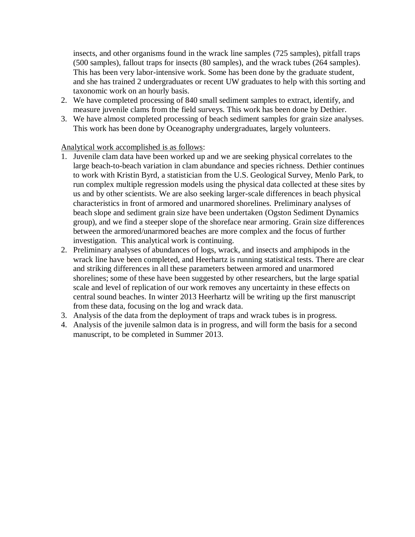insects, and other organisms found in the wrack line samples (725 samples), pitfall traps (500 samples), fallout traps for insects (80 samples), and the wrack tubes (264 samples). This has been very labor-intensive work. Some has been done by the graduate student, and she has trained 2 undergraduates or recent UW graduates to help with this sorting and taxonomic work on an hourly basis.

- 2. We have completed processing of 840 small sediment samples to extract, identify, and measure juvenile clams from the field surveys. This work has been done by Dethier.
- 3. We have almost completed processing of beach sediment samples for grain size analyses. This work has been done by Oceanography undergraduates, largely volunteers.

Analytical work accomplished is as follows:

- 1. Juvenile clam data have been worked up and we are seeking physical correlates to the large beach-to-beach variation in clam abundance and species richness. Dethier continues to work with Kristin Byrd, a statistician from the U.S. Geological Survey, Menlo Park, to run complex multiple regression models using the physical data collected at these sites by us and by other scientists. We are also seeking larger-scale differences in beach physical characteristics in front of armored and unarmored shorelines. Preliminary analyses of beach slope and sediment grain size have been undertaken (Ogston Sediment Dynamics group), and we find a steeper slope of the shoreface near armoring. Grain size differences between the armored/unarmored beaches are more complex and the focus of further investigation. This analytical work is continuing.
- 2. Preliminary analyses of abundances of logs, wrack, and insects and amphipods in the wrack line have been completed, and Heerhartz is running statistical tests. There are clear and striking differences in all these parameters between armored and unarmored shorelines; some of these have been suggested by other researchers, but the large spatial scale and level of replication of our work removes any uncertainty in these effects on central sound beaches. In winter 2013 Heerhartz will be writing up the first manuscript from these data, focusing on the log and wrack data.
- 3. Analysis of the data from the deployment of traps and wrack tubes is in progress.
- 4. Analysis of the juvenile salmon data is in progress, and will form the basis for a second manuscript, to be completed in Summer 2013.